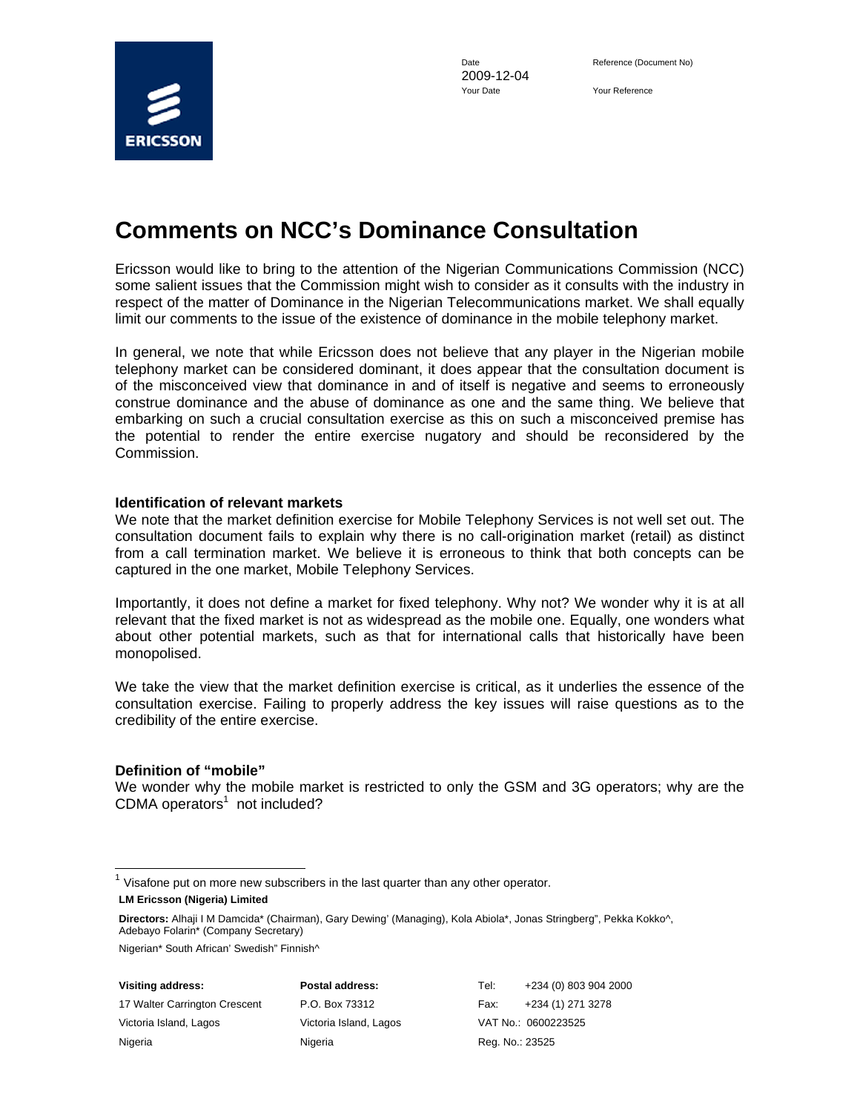

2009-12-04 Your Date Your Reference

# **Comments on NCC's Dominance Consultation**

Ericsson would like to bring to the attention of the Nigerian Communications Commission (NCC) some salient issues that the Commission might wish to consider as it consults with the industry in respect of the matter of Dominance in the Nigerian Telecommunications market. We shall equally limit our comments to the issue of the existence of dominance in the mobile telephony market.

In general, we note that while Ericsson does not believe that any player in the Nigerian mobile telephony market can be considered dominant, it does appear that the consultation document is of the misconceived view that dominance in and of itself is negative and seems to erroneously construe dominance and the abuse of dominance as one and the same thing. We believe that embarking on such a crucial consultation exercise as this on such a misconceived premise has the potential to render the entire exercise nugatory and should be reconsidered by the Commission.

#### **Identification of relevant markets**

We note that the market definition exercise for Mobile Telephony Services is not well set out. The consultation document fails to explain why there is no call-origination market (retail) as distinct from a call termination market. We believe it is erroneous to think that both concepts can be captured in the one market, Mobile Telephony Services.

Importantly, it does not define a market for fixed telephony. Why not? We wonder why it is at all relevant that the fixed market is not as widespread as the mobile one. Equally, one wonders what about other potential markets, such as that for international calls that historically have been monopolised.

We take the view that the market definition exercise is critical, as it underlies the essence of the consultation exercise. Failing to properly address the key issues will raise questions as to the credibility of the entire exercise.

#### **Definition of "mobile"**

 $\overline{a}$ 

We wonder why the mobile market is restricted to only the GSM and 3G operators; why are the  $CDMA$  operators<sup>1</sup> not included?

Nigerian\* South African' Swedish" Finnish^

17 Walter Carrington Crescent P.O. Box 73312 Fax: +234 (1) 271 3278 Victoria Island, Lagos Victoria Island, Lagos VAT No.: 0600223525 Nigeria **Nigeria** Nigeria Reg. No.: 23525

**Visiting address: Postal address:** Tel: +234 (0) 803 904 2000

**LM Ericsson (Nigeria) Limited**   $<sup>1</sup>$  Visafone put on more new subscribers in the last quarter than any other operator.</sup>

**Directors:** Alhaji I M Damcida\* (Chairman), Gary Dewing' (Managing), Kola Abiola\*, Jonas Stringberg", Pekka Kokko^, Adebayo Folarin\* (Company Secretary)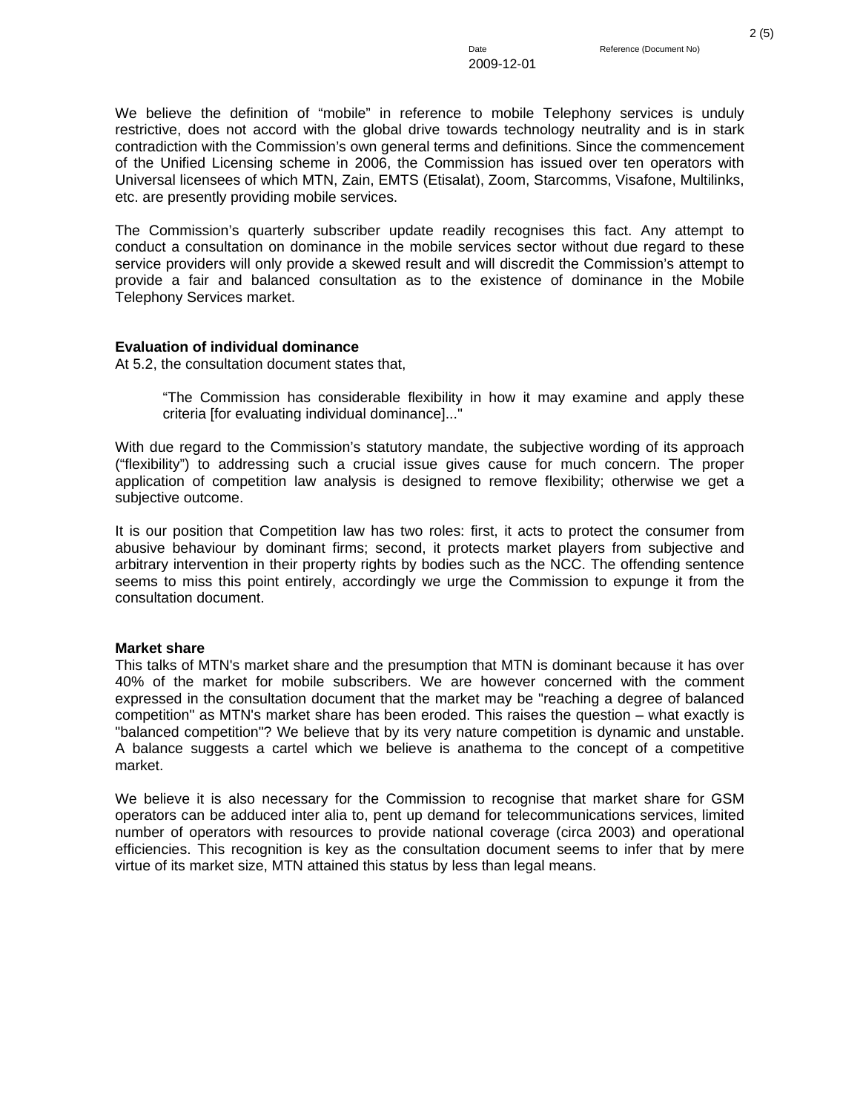We believe the definition of "mobile" in reference to mobile Telephony services is unduly restrictive, does not accord with the global drive towards technology neutrality and is in stark contradiction with the Commission's own general terms and definitions. Since the commencement of the Unified Licensing scheme in 2006, the Commission has issued over ten operators with Universal licensees of which MTN, Zain, EMTS (Etisalat), Zoom, Starcomms, Visafone, Multilinks, etc. are presently providing mobile services.

The Commission's quarterly subscriber update readily recognises this fact. Any attempt to conduct a consultation on dominance in the mobile services sector without due regard to these service providers will only provide a skewed result and will discredit the Commission's attempt to provide a fair and balanced consultation as to the existence of dominance in the Mobile Telephony Services market.

## **Evaluation of individual dominance**

At 5.2, the consultation document states that,

 "The Commission has considerable flexibility in how it may examine and apply these criteria [for evaluating individual dominance]..."

With due regard to the Commission's statutory mandate, the subjective wording of its approach ("flexibility") to addressing such a crucial issue gives cause for much concern. The proper application of competition law analysis is designed to remove flexibility; otherwise we get a subjective outcome.

It is our position that Competition law has two roles: first, it acts to protect the consumer from abusive behaviour by dominant firms; second, it protects market players from subjective and arbitrary intervention in their property rights by bodies such as the NCC. The offending sentence seems to miss this point entirely, accordingly we urge the Commission to expunge it from the consultation document.

### **Market share**

This talks of MTN's market share and the presumption that MTN is dominant because it has over 40% of the market for mobile subscribers. We are however concerned with the comment expressed in the consultation document that the market may be "reaching a degree of balanced competition" as MTN's market share has been eroded. This raises the question – what exactly is "balanced competition"? We believe that by its very nature competition is dynamic and unstable. A balance suggests a cartel which we believe is anathema to the concept of a competitive market.

We believe it is also necessary for the Commission to recognise that market share for GSM operators can be adduced inter alia to, pent up demand for telecommunications services, limited number of operators with resources to provide national coverage (circa 2003) and operational efficiencies. This recognition is key as the consultation document seems to infer that by mere virtue of its market size, MTN attained this status by less than legal means.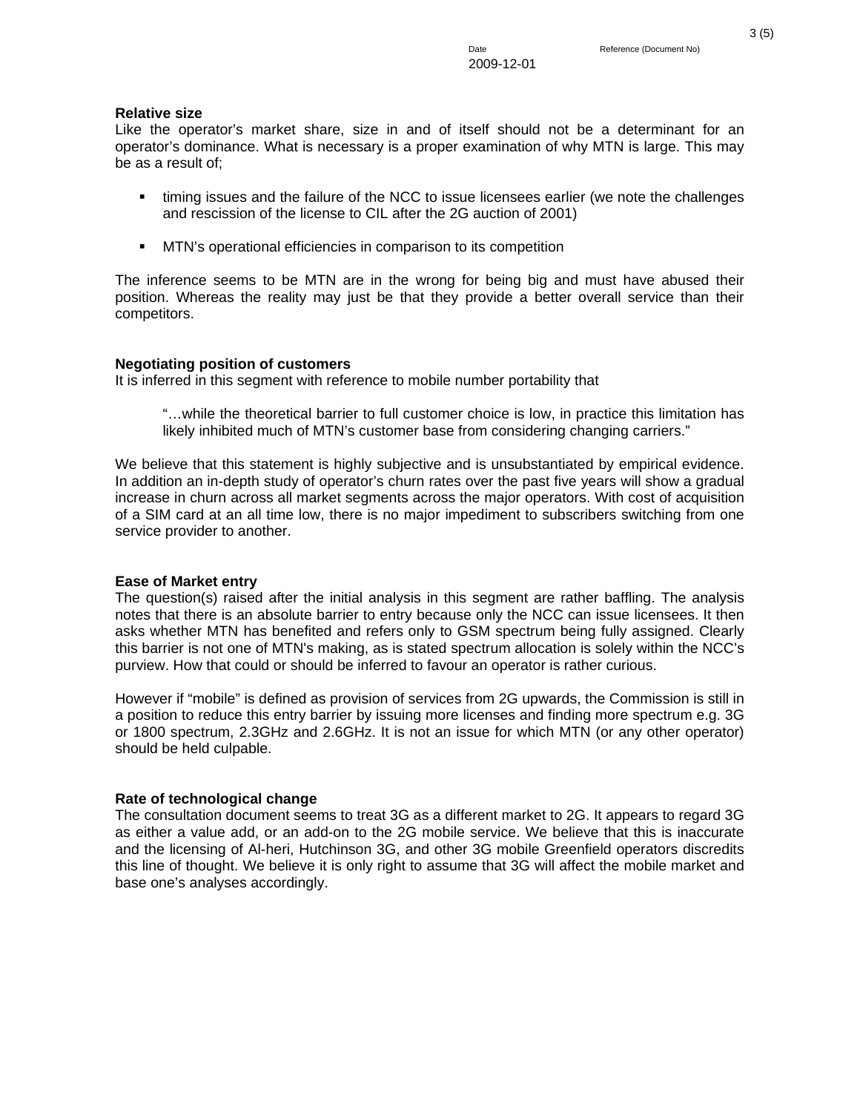# **Relative size**

Like the operator's market share, size in and of itself should not be a determinant for an operator's dominance. What is necessary is a proper examination of why MTN is large. This may be as a result of;

- timing issues and the failure of the NCC to issue licensees earlier (we note the challenges and rescission of the license to CIL after the 2G auction of 2001)
- **MTN's operational efficiencies in comparison to its competition**

The inference seems to be MTN are in the wrong for being big and must have abused their position. Whereas the reality may just be that they provide a better overall service than their competitors.

# **Negotiating position of customers**

It is inferred in this segment with reference to mobile number portability that

 "…while the theoretical barrier to full customer choice is low, in practice this limitation has likely inhibited much of MTN's customer base from considering changing carriers."

We believe that this statement is highly subjective and is unsubstantiated by empirical evidence. In addition an in-depth study of operator's churn rates over the past five years will show a gradual increase in churn across all market segments across the major operators. With cost of acquisition of a SIM card at an all time low, there is no major impediment to subscribers switching from one service provider to another.

# **Ease of Market entry**

The question(s) raised after the initial analysis in this segment are rather baffling. The analysis notes that there is an absolute barrier to entry because only the NCC can issue licensees. It then asks whether MTN has benefited and refers only to GSM spectrum being fully assigned. Clearly this barrier is not one of MTN's making, as is stated spectrum allocation is solely within the NCC's purview. How that could or should be inferred to favour an operator is rather curious.

However if "mobile" is defined as provision of services from 2G upwards, the Commission is still in a position to reduce this entry barrier by issuing more licenses and finding more spectrum e.g. 3G or 1800 spectrum, 2.3GHz and 2.6GHz. It is not an issue for which MTN (or any other operator) should be held culpable.

# **Rate of technological change**

The consultation document seems to treat 3G as a different market to 2G. It appears to regard 3G as either a value add, or an add-on to the 2G mobile service. We believe that this is inaccurate and the licensing of Al-heri, Hutchinson 3G, and other 3G mobile Greenfield operators discredits this line of thought. We believe it is only right to assume that 3G will affect the mobile market and base one's analyses accordingly.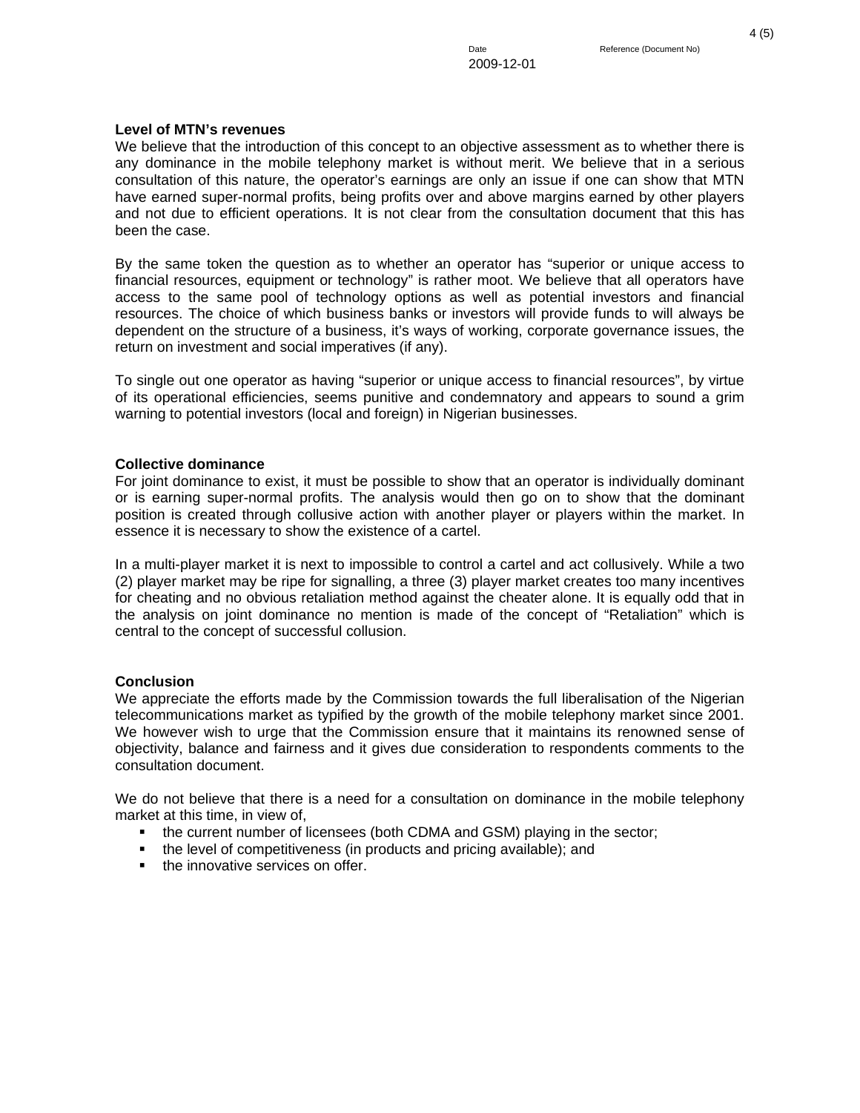### **Level of MTN's revenues**

We believe that the introduction of this concept to an objective assessment as to whether there is any dominance in the mobile telephony market is without merit. We believe that in a serious consultation of this nature, the operator's earnings are only an issue if one can show that MTN have earned super-normal profits, being profits over and above margins earned by other players and not due to efficient operations. It is not clear from the consultation document that this has been the case.

By the same token the question as to whether an operator has "superior or unique access to financial resources, equipment or technology" is rather moot. We believe that all operators have access to the same pool of technology options as well as potential investors and financial resources. The choice of which business banks or investors will provide funds to will always be dependent on the structure of a business, it's ways of working, corporate governance issues, the return on investment and social imperatives (if any).

To single out one operator as having "superior or unique access to financial resources", by virtue of its operational efficiencies, seems punitive and condemnatory and appears to sound a grim warning to potential investors (local and foreign) in Nigerian businesses.

### **Collective dominance**

For joint dominance to exist, it must be possible to show that an operator is individually dominant or is earning super-normal profits. The analysis would then go on to show that the dominant position is created through collusive action with another player or players within the market. In essence it is necessary to show the existence of a cartel.

In a multi-player market it is next to impossible to control a cartel and act collusively. While a two (2) player market may be ripe for signalling, a three (3) player market creates too many incentives for cheating and no obvious retaliation method against the cheater alone. It is equally odd that in the analysis on joint dominance no mention is made of the concept of "Retaliation" which is central to the concept of successful collusion.

### **Conclusion**

We appreciate the efforts made by the Commission towards the full liberalisation of the Nigerian telecommunications market as typified by the growth of the mobile telephony market since 2001. We however wish to urge that the Commission ensure that it maintains its renowned sense of objectivity, balance and fairness and it gives due consideration to respondents comments to the consultation document.

We do not believe that there is a need for a consultation on dominance in the mobile telephony market at this time, in view of,

- the current number of licensees (both CDMA and GSM) playing in the sector;
- the level of competitiveness (in products and pricing available); and
- the innovative services on offer.